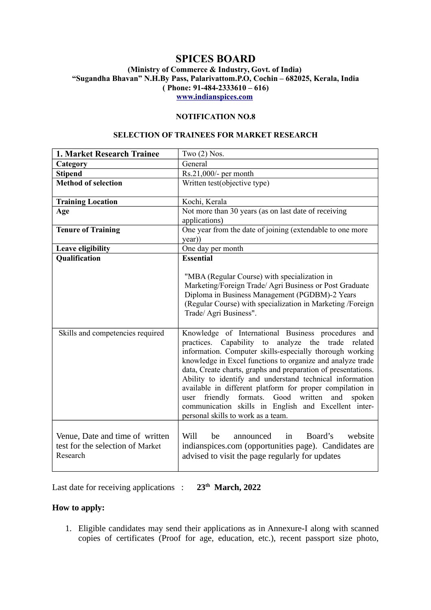# **SPICES BOARD**

### **(Ministry of Commerce & Industry, Govt. of India) "Sugandha Bhavan" N.H.By Pass, Palarivattom.P.O, Cochin – 682025, Kerala, India ( Phone: 91-484-2333610 – 616) [www.indianspices.com](http://www.indianspices.com/)**

### **NOTIFICATION NO.8**

#### **SELECTION OF TRAINEES FOR MARKET RESEARCH**

| 1. Market Research Trainee                                                      | Two $(2)$ Nos.                                                                                                                                                                                                                                                                                                                                                                                                                                                                                                                                                                                 |
|---------------------------------------------------------------------------------|------------------------------------------------------------------------------------------------------------------------------------------------------------------------------------------------------------------------------------------------------------------------------------------------------------------------------------------------------------------------------------------------------------------------------------------------------------------------------------------------------------------------------------------------------------------------------------------------|
| Category                                                                        | General                                                                                                                                                                                                                                                                                                                                                                                                                                                                                                                                                                                        |
| <b>Stipend</b>                                                                  | Rs.21,000/- per month                                                                                                                                                                                                                                                                                                                                                                                                                                                                                                                                                                          |
| <b>Method of selection</b>                                                      | Written test(objective type)                                                                                                                                                                                                                                                                                                                                                                                                                                                                                                                                                                   |
| <b>Training Location</b>                                                        | Kochi, Kerala                                                                                                                                                                                                                                                                                                                                                                                                                                                                                                                                                                                  |
| Age                                                                             | Not more than 30 years (as on last date of receiving<br>applications)                                                                                                                                                                                                                                                                                                                                                                                                                                                                                                                          |
| <b>Tenure of Training</b>                                                       | One year from the date of joining (extendable to one more<br>year))                                                                                                                                                                                                                                                                                                                                                                                                                                                                                                                            |
| Leave eligibility                                                               | One day per month                                                                                                                                                                                                                                                                                                                                                                                                                                                                                                                                                                              |
| <b>Qualification</b>                                                            | <b>Essential</b><br>"MBA (Regular Course) with specialization in<br>Marketing/Foreign Trade/ Agri Business or Post Graduate<br>Diploma in Business Management (PGDBM)-2 Years<br>(Regular Course) with specialization in Marketing /Foreign<br>Trade/ Agri Business".                                                                                                                                                                                                                                                                                                                          |
| Skills and competencies required                                                | Knowledge of International Business procedures and<br>practices. Capability to analyze the trade related<br>information. Computer skills-especially thorough working<br>knowledge in Excel functions to organize and analyze trade<br>data, Create charts, graphs and preparation of presentations.<br>Ability to identify and understand technical information<br>available in different platform for proper compilation in<br>Good<br>friendly<br>formats.<br>written<br>and<br>spoken<br>user<br>communication skills in English and Excellent inter-<br>personal skills to work as a team. |
| Venue, Date and time of written<br>test for the selection of Market<br>Research | Will<br>Board's<br>website<br>be<br>announced<br>in<br>indianspices.com (opportunities page). Candidates are<br>advised to visit the page regularly for updates                                                                                                                                                                                                                                                                                                                                                                                                                                |

Last date for receiving applications : **23th March, 2022**

## **How to apply:**

1. Eligible candidates may send their applications as in Annexure-I along with scanned copies of certificates (Proof for age, education, etc.), recent passport size photo,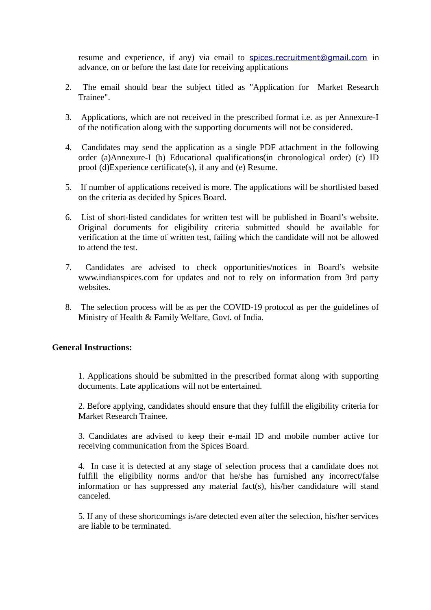resume and experience, if any) via email to [spices.recruitment@gmail.com](mailto:spices.recruitment@gmail.com) in advance, on or before the last date for receiving applications

- 2. The email should bear the subject titled as "Application for Market Research Trainee".
- 3. Applications, which are not received in the prescribed format i.e. as per Annexure-I of the notification along with the supporting documents will not be considered.
- 4. Candidates may send the application as a single PDF attachment in the following order (a)Annexure-I (b) Educational qualifications(in chronological order) (c) ID proof (d)Experience certificate(s), if any and (e) Resume.
- 5. If number of applications received is more. The applications will be shortlisted based on the criteria as decided by Spices Board.
- 6. List of short-listed candidates for written test will be published in Board's website. Original documents for eligibility criteria submitted should be available for verification at the time of written test, failing which the candidate will not be allowed to attend the test.
- 7. Candidates are advised to check opportunities/notices in Board's website www.indianspices.com for updates and not to rely on information from 3rd party websites.
- 8. The selection process will be as per the COVID-19 protocol as per the guidelines of Ministry of Health & Family Welfare, Govt. of India.

## **General Instructions:**

1. Applications should be submitted in the prescribed format along with supporting documents. Late applications will not be entertained.

2. Before applying, candidates should ensure that they fulfill the eligibility criteria for Market Research Trainee.

3. Candidates are advised to keep their e-mail ID and mobile number active for receiving communication from the Spices Board.

4. In case it is detected at any stage of selection process that a candidate does not fulfill the eligibility norms and/or that he/she has furnished any incorrect/false information or has suppressed any material fact(s), his/her candidature will stand canceled.

5. If any of these shortcomings is/are detected even after the selection, his/her services are liable to be terminated.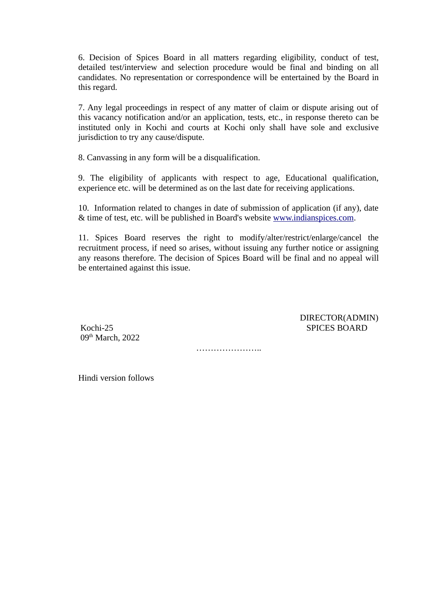6. Decision of Spices Board in all matters regarding eligibility, conduct of test, detailed test/interview and selection procedure would be final and binding on all candidates. No representation or correspondence will be entertained by the Board in this regard.

7. Any legal proceedings in respect of any matter of claim or dispute arising out of this vacancy notification and/or an application, tests, etc., in response thereto can be instituted only in Kochi and courts at Kochi only shall have sole and exclusive jurisdiction to try any cause/dispute.

8. Canvassing in any form will be a disqualification.

9. The eligibility of applicants with respect to age, Educational qualification, experience etc. will be determined as on the last date for receiving applications.

10. Information related to changes in date of submission of application (if any), date & time of test, etc. will be published in Board's website [www.indianspices.com.](http://www.indianspices.com/)

11. Spices Board reserves the right to modify/alter/restrict/enlarge/cancel the recruitment process, if need so arises, without issuing any further notice or assigning any reasons therefore. The decision of Spices Board will be final and no appeal will be entertained against this issue.

09<sup>th</sup> March, 2022

 DIRECTOR(ADMIN) Kochi-25 SPICES BOARD

…………………………

Hindi version follows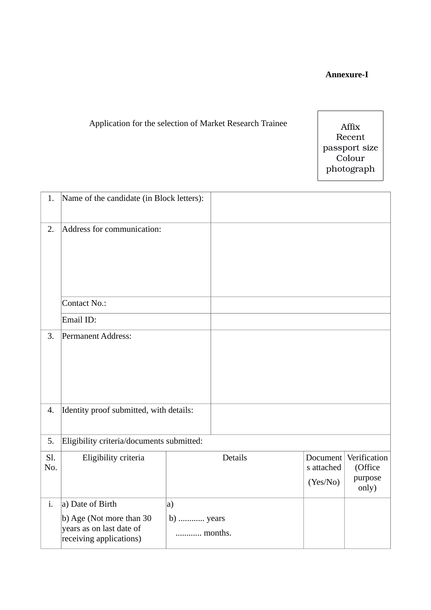## **Annexure-I**

# Application for the selection of Market Research Trainee

Affix Recent passport size Colour photograph

| 1.         | Name of the candidate (in Block letters):                                       |                      |                |                                    |                                             |
|------------|---------------------------------------------------------------------------------|----------------------|----------------|------------------------------------|---------------------------------------------|
| 2.         | Address for communication:                                                      |                      |                |                                    |                                             |
|            | <b>Contact No.:</b>                                                             |                      |                |                                    |                                             |
|            | Email ID:                                                                       |                      |                |                                    |                                             |
| 3.         | <b>Permanent Address:</b>                                                       |                      |                |                                    |                                             |
| 4.         | Identity proof submitted, with details:                                         |                      |                |                                    |                                             |
| 5.         | Eligibility criteria/documents submitted:                                       |                      |                |                                    |                                             |
| Sl.<br>No. | Eligibility criteria                                                            |                      | <b>Details</b> | Document<br>s attached<br>(Yes/No) | Verification<br>(Office<br>purpose<br>only) |
| i.         | a) Date of Birth                                                                | a)                   |                |                                    |                                             |
|            | b) Age (Not more than 30<br>years as on last date of<br>receiving applications) | b)  years<br>months. |                |                                    |                                             |